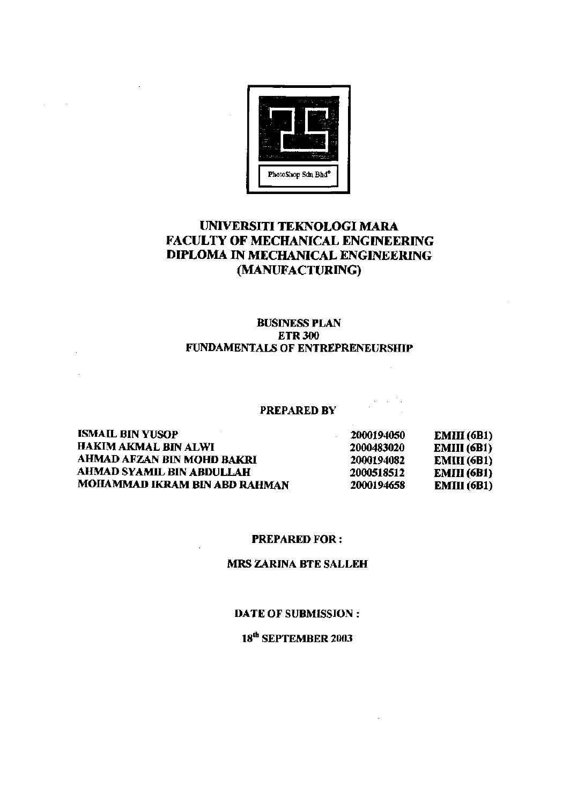

# UNIVERSITI TEKNOLOGI MARA FACULTY OF MECHANICAL ENGINEERING DIPLOMA IN MECHANICAL ENGINEERING (MANUFACTURING)

### BUSINESS PLAN ETR300 FUNDAMENTALS OF ENTREPRENEURSHIP

#### PREPARED BV

ISMAIL BIN YUSOP HAKIM AKMAL BIN ALWI AHMAD AFZAN BIN MOHD BAKRI AHMAD SYAMIL BIN ABDULLAH MOHAMMAD IKRAM BIN ABD RAHMAN 2000194050 2000483020 2000194082 2000518512 2000194658 EMIII (6B1) EMIII (6B1) EMIII(6B1) EMIII (6B1) EMIII (6B1)

#### PREPARED FOR:

### MRS ZARINA BTE SALLEH

#### DATE OF SUBMISSION :

# 18<sup>th</sup> SEPTEMBER 2003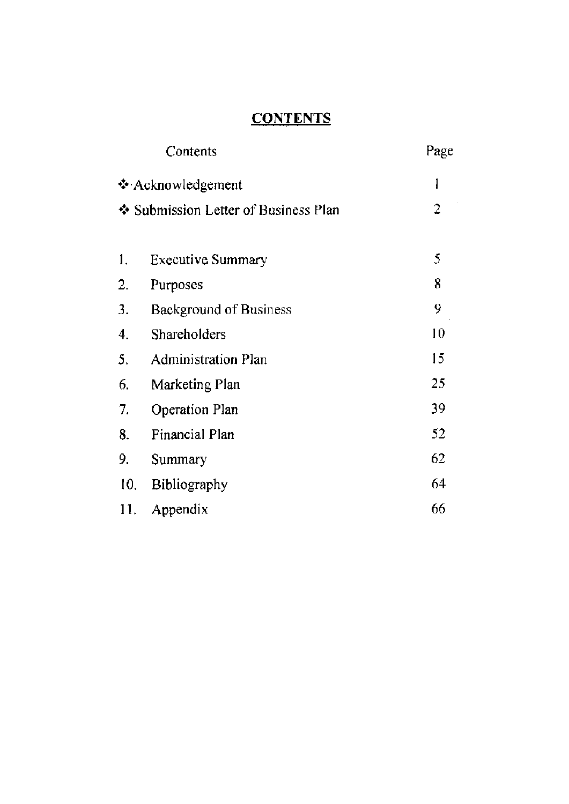# **CONTENTS**

|                                                           | Contents                      | Page |
|-----------------------------------------------------------|-------------------------------|------|
| ❖ Acknowledgement<br>❖ Submission Letter of Business Plan |                               | l    |
|                                                           |                               | 2    |
|                                                           |                               |      |
| 1.                                                        | <b>Executive Summary</b>      | 5    |
| 2.                                                        | Purposes                      | 8    |
| 3.                                                        | <b>Background of Business</b> | 9    |
| 4.                                                        | <b>Shareholders</b>           | 10   |
| 5.                                                        | <b>Administration Plan</b>    | 15   |
| 6.                                                        | Marketing Plan                | 25   |
| 7.                                                        | Operation Plan                | 39   |
| 8.                                                        | Financial Plan                | 52   |
| 9.                                                        | Summary                       | 62   |
| 10.                                                       | Bibliography                  | 64   |
| 11.                                                       | Appendix                      | 66   |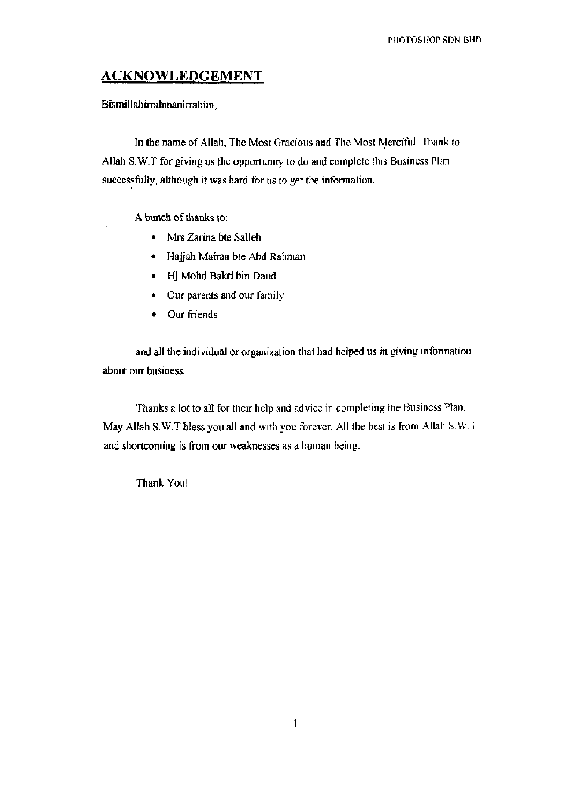# ACKNOWLEDGEMENT

### Bismillahirrahman irrahim,

In the name of Allah, The Most Gracious and The Most Merciful. Thank to Allah S.W.T for giving us the opportunity to do and complete this Business Plan successfully, although it was hard for us to get the information.

A bunch of thanks to;

- Mrs Zarina bte Salleh
- Hajjah Mairan bte Abd Rahman
- Hj Mohd Bakri bin Daud
- Our parents and our family
- Our friends

and all the individual or organization that had helped us *in* giving infonnation about our business.

Thanks a lot to all for their help and advice in completing the Business Plan. May Allah S.W.T bless you all and with you forever. All the best is from Allah S.W.T and shortcoming is from our weaknesses as a human being.

Thank You!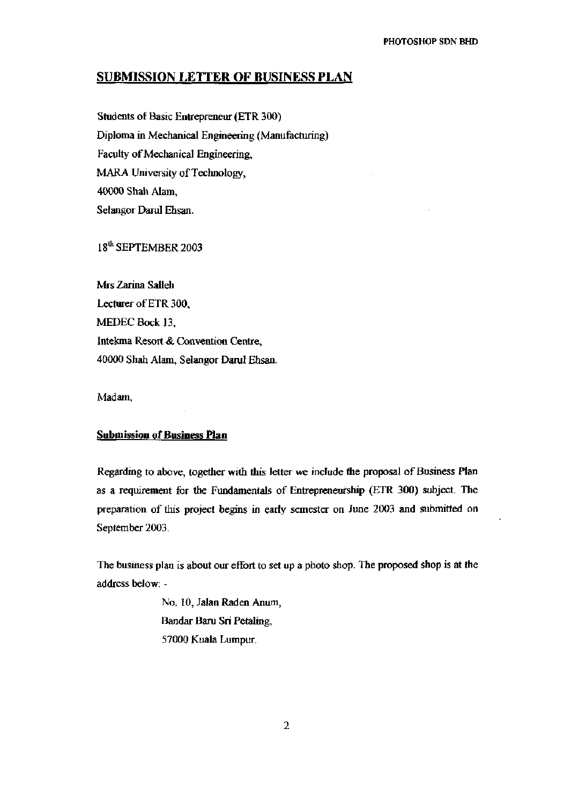## SUBMISSION LETTER OF BUSINESS PLAN

Students of Basic Entrepreneur (ETR 300) Diploma in Mechanical Engineering (Manufacturing) Faculty of Mechanical Engineering, MARA University of Technology, 40000 Shah Alam, Selangor Darul Ehsan.

18<sup>th</sup> SEPTEMBER 2003

Mrs Zarina Salleh Lecturer of ETR 300, MEDEC Bock 13, Intekma Resort & Convention Centre, 40000 Shah Alam, Selangor Darul Ehsan.

Madam,

### **Submission of Business Plan**

Regarding to above, together with this letter we include the proposal of Business Plan as a requirement for the Fundamentals of Entrepreneurship (ETR 300) subject. The preparation of this project begins in early semester on June 2003 and submitted on September 2003.

The business plan is about our effort to set up a photo shop. The proposed shop is at the address below: -

> No. 10, Jalan Raden Anum, Bandar Baru Sri Petaling, 57000 Kuala Lumpur.